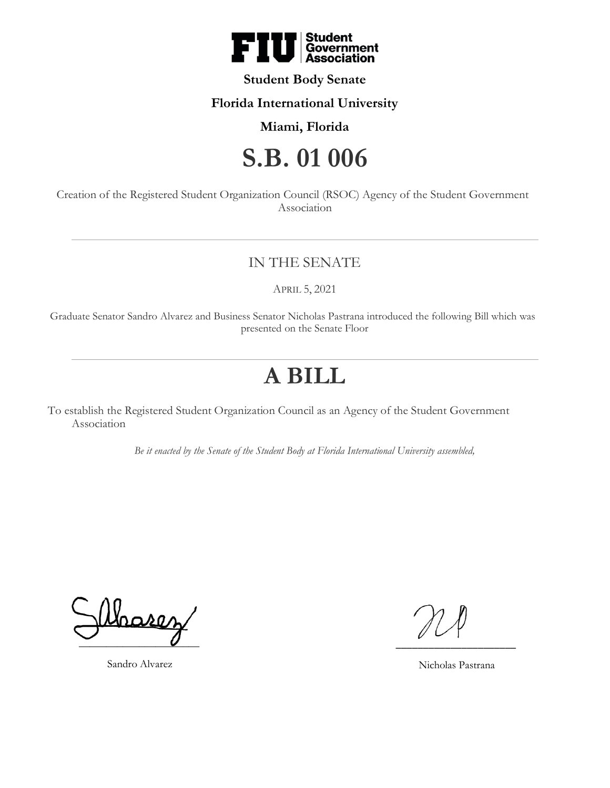

# **Student Body Senate**

### **Florida International University**

## **Miami, Florida**

# **S.B. 01 006**

Creation of the Registered Student Organization Council (RSOC) Agency of the Student Government Association

# IN THE SENATE

APRIL 5, 2021

Graduate Senator Sandro Alvarez and Business Senator Nicholas Pastrana introduced the following Bill which was presented on the Senate Floor

# **A BILL**

To establish the Registered Student Organization Council as an Agency of the Student Government Association

*Be it enacted by the Senate of the Student Body at Florida International University assembled,*

harez  $\overline{\phantom{a}}$ 

Sandro Alvarez

\_\_\_\_\_\_\_\_\_\_\_\_\_\_\_\_\_\_\_\_\_\_

Nicholas Pastrana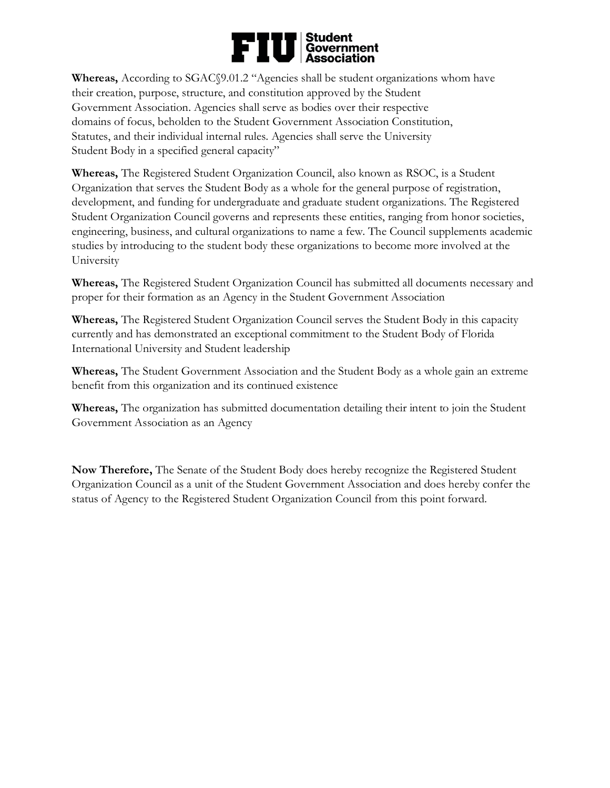# ■ Student<br>| Government<br>| Association FII

**Whereas,** According to SGAC§9.01.2 "Agencies shall be student organizations whom have their creation, purpose, structure, and constitution approved by the Student Government Association. Agencies shall serve as bodies over their respective domains of focus, beholden to the Student Government Association Constitution, Statutes, and their individual internal rules. Agencies shall serve the University Student Body in a specified general capacity"

**Whereas,** The Registered Student Organization Council, also known as RSOC, is a Student Organization that serves the Student Body as a whole for the general purpose of registration, development, and funding for undergraduate and graduate student organizations. The Registered Student Organization Council governs and represents these entities, ranging from honor societies, engineering, business, and cultural organizations to name a few. The Council supplements academic studies by introducing to the student body these organizations to become more involved at the University

**Whereas,** The Registered Student Organization Council has submitted all documents necessary and proper for their formation as an Agency in the Student Government Association

**Whereas,** The Registered Student Organization Council serves the Student Body in this capacity currently and has demonstrated an exceptional commitment to the Student Body of Florida International University and Student leadership

**Whereas,** The Student Government Association and the Student Body as a whole gain an extreme benefit from this organization and its continued existence

**Whereas,** The organization has submitted documentation detailing their intent to join the Student Government Association as an Agency

**Now Therefore,** The Senate of the Student Body does hereby recognize the Registered Student Organization Council as a unit of the Student Government Association and does hereby confer the status of Agency to the Registered Student Organization Council from this point forward.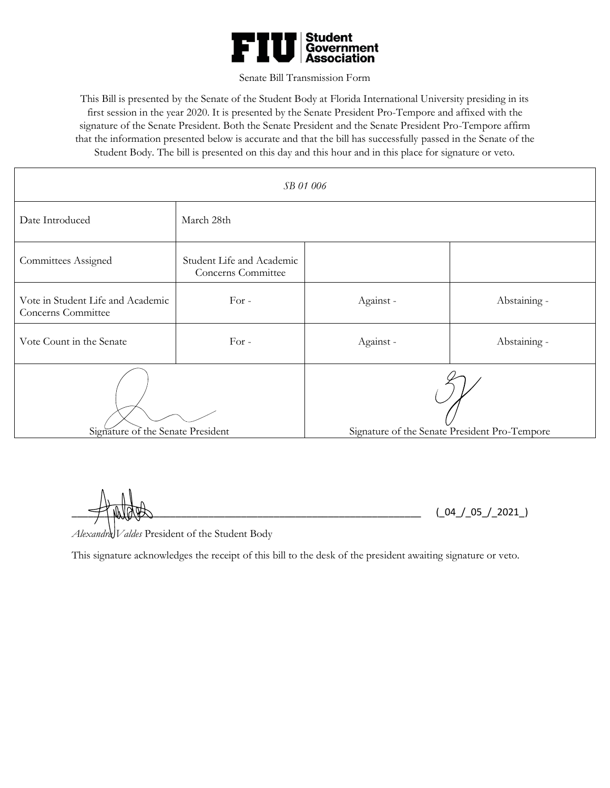

#### Senate Bill Transmission Form

This Bill is presented by the Senate of the Student Body at Florida International University presiding in its first session in the year 2020. It is presented by the Senate President Pro-Tempore and affixed with the signature of the Senate President. Both the Senate President and the Senate President Pro-Tempore affirm that the information presented below is accurate and that the bill has successfully passed in the Senate of the Student Body. The bill is presented on this day and this hour and in this place for signature or veto.

| SB 01 006                                               |                                                 |                                               |              |
|---------------------------------------------------------|-------------------------------------------------|-----------------------------------------------|--------------|
| Date Introduced                                         | March 28th                                      |                                               |              |
| Committees Assigned                                     | Student Life and Academic<br>Concerns Committee |                                               |              |
| Vote in Student Life and Academic<br>Concerns Committee | $For -$                                         | Against -                                     | Abstaining - |
| Vote Count in the Senate                                | For -                                           | Against -                                     | Abstaining - |
| Signature of the Senate President                       |                                                 | Signature of the Senate President Pro-Tempore |              |

 $(0.4 / 05 / 2021)$ 

Alexandra Valdes President of the Student Body

This signature acknowledges the receipt of this bill to the desk of the president awaiting signature or veto.